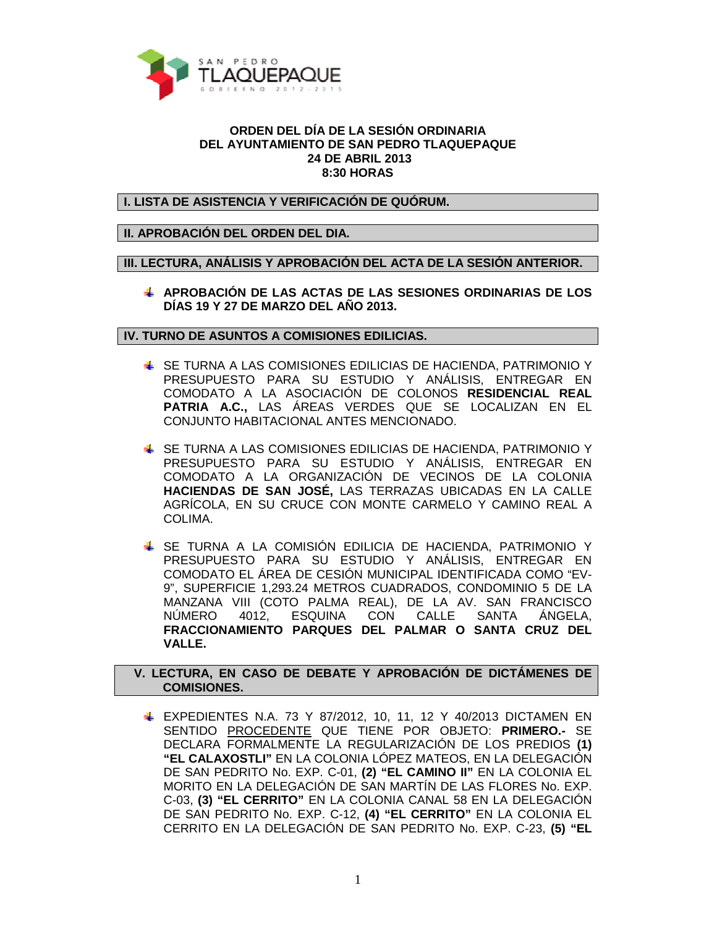

## **ORDEN DEL DÍA DE LA SESIÓN ORDINARIA DEL AYUNTAMIENTO DE SAN PEDRO TLAQUEPAQUE 24 DE ABRIL 2013 8:30 HORAS**

**I. LISTA DE ASISTENCIA Y VERIFICACIÓN DE QUÓRUM.** 

## **II. APROBACIÓN DEL ORDEN DEL DIA.**

**III. LECTURA, ANÁLISIS Y APROBACIÓN DEL ACTA DE LA SESIÓN ANTERIOR.** 

**APROBACIÓN DE LAS ACTAS DE LAS SESIONES ORDINARIAS DE LOS DÍAS 19 Y 27 DE MARZO DEL AÑO 2013.** 

## **IV. TURNO DE ASUNTOS A COMISIONES EDILICIAS.**

- SE TURNA A LAS COMISIONES EDILICIAS DE HACIENDA, PATRIMONIO Y PRESUPUESTO PARA SU ESTUDIO Y ANÁLISIS, ENTREGAR EN COMODATO A LA ASOCIACIÓN DE COLONOS **RESIDENCIAL REAL PATRIA A.C.,** LAS ÁREAS VERDES QUE SE LOCALIZAN EN EL CONJUNTO HABITACIONAL ANTES MENCIONADO.
- SE TURNA A LAS COMISIONES EDILICIAS DE HACIENDA, PATRIMONIO Y PRESUPUESTO PARA SU ESTUDIO Y ANÁLISIS, ENTREGAR EN COMODATO A LA ORGANIZACIÓN DE VECINOS DE LA COLONIA **HACIENDAS DE SAN JOSÉ,** LAS TERRAZAS UBICADAS EN LA CALLE AGRÍCOLA, EN SU CRUCE CON MONTE CARMELO Y CAMINO REAL A COLIMA.
- SE TURNA A LA COMISIÓN EDILICIA DE HACIENDA, PATRIMONIO Y PRESUPUESTO PARA SU ESTUDIO Y ANÁLISIS, ENTREGAR EN COMODATO EL ÁREA DE CESIÓN MUNICIPAL IDENTIFICADA COMO "EV-9", SUPERFICIE 1,293.24 METROS CUADRADOS, CONDOMINIO 5 DE LA MANZANA VIII (COTO PALMA REAL), DE LA AV. SAN FRANCISCO NÚMERO 4012, ESQUINA CON CALLE SANTA ÁNGELA, **FRACCIONAMIENTO PARQUES DEL PALMAR O SANTA CRUZ DEL VALLE.**

## **V. LECTURA, EN CASO DE DEBATE Y APROBACIÓN DE DICTÁMENES DE COMISIONES.**

**EXPEDIENTES N.A. 73 Y 87/2012, 10, 11, 12 Y 40/2013 DICTAMEN EN** SENTIDO PROCEDENTE QUE TIENE POR OBJETO: **PRIMERO.-** SE DECLARA FORMALMENTE LA REGULARIZACIÓN DE LOS PREDIOS **(1) "EL CALAXOSTLI"** EN LA COLONIA LÓPEZ MATEOS, EN LA DELEGACIÓN DE SAN PEDRITO No. EXP. C-01, **(2) "EL CAMINO II"** EN LA COLONIA EL MORITO EN LA DELEGACIÓN DE SAN MARTÍN DE LAS FLORES No. EXP. C-03, **(3) "EL CERRITO"** EN LA COLONIA CANAL 58 EN LA DELEGACIÓN DE SAN PEDRITO No. EXP. C-12, **(4) "EL CERRITO"** EN LA COLONIA EL CERRITO EN LA DELEGACIÓN DE SAN PEDRITO No. EXP. C-23, **(5) "EL**